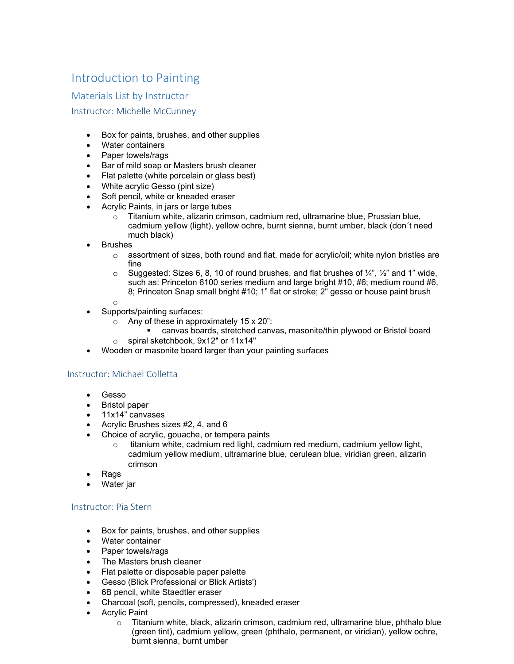## Introduction to Painting

Materials List by Instructor

## Instructor: Michelle McCunney

- Box for paints, brushes, and other supplies
- Water containers
- Paper towels/rags
- Bar of mild soap or Masters brush cleaner
- Flat palette (white porcelain or glass best)
- White acrylic Gesso (pint size)
- Soft pencil, white or kneaded eraser
- Acrylic Paints, in jars or large tubes
	- $\circ$  Titanium white, alizarin crimson, cadmium red, ultramarine blue, Prussian blue, cadmium yellow (light), yellow ochre, burnt sienna, burnt umber, black (don´t need much black)
- **Brushes** 
	- $\circ$  assortment of sizes, both round and flat, made for acrylic/oil; white nylon bristles are fine
	- $\circ$  Suggested: Sizes 6, 8, 10 of round brushes, and flat brushes of  $\frac{1}{4}$ ,  $\frac{1}{2}$  and 1" wide, such as: Princeton 6100 series medium and large bright #10, #6; medium round #6, 8; Princeton Snap small bright #10; 1" flat or stroke; 2" gesso or house paint brush
	- o
	- Supports/painting surfaces:
		- $\circ$  Any of these in approximately 15 x 20":
			- canvas boards, stretched canvas, masonite/thin plywood or Bristol board
		- o spiral sketchbook, 9x12" or 11x14"
- Wooden or masonite board larger than your painting surfaces

## Instructor: Michael Colletta

- Gesso
- Bristol paper
- 11x14" canvases
- Acrylic Brushes sizes #2, 4, and 6
- Choice of acrylic, gouache, or tempera paints
	- $\circ$  titanium white, cadmium red light, cadmium red medium, cadmium yellow light, cadmium yellow medium, ultramarine blue, cerulean blue, viridian green, alizarin crimson
- Rags
- Water jar

## Instructor: Pia Stern

- Box for paints, brushes, and other supplies
- Water container
- Paper towels/rags
- The Masters brush cleaner
- Flat palette or disposable paper palette
- Gesso (Blick Professional or Blick Artists')
- 6B pencil, white Staedtler eraser
- Charcoal (soft, pencils, compressed), kneaded eraser
- **Acrylic Paint** 
	- $\circ$  Titanium white, black, alizarin crimson, cadmium red, ultramarine blue, phthalo blue (green tint), cadmium yellow, green (phthalo, permanent, or viridian), yellow ochre, burnt sienna, burnt umber